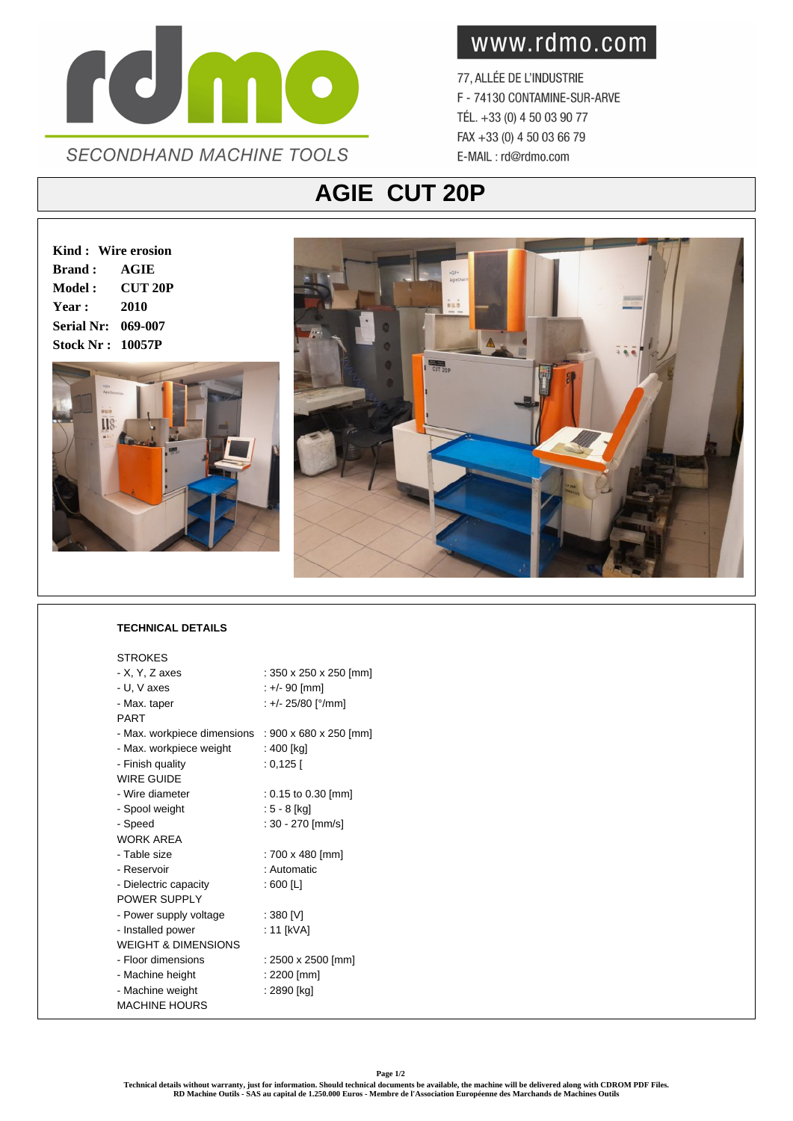

www.rdmo.com

77, ALLÉE DE L'INDUSTRIE F - 74130 CONTAMINE-SUR-ARVE TÉL. +33 (0) 4 50 03 90 77 FAX +33 (0) 4 50 03 66 79 E-MAIL: rd@rdmo.com

## **AGIE CUT 20P**

**Kind : Wire erosion Brand : AGIE Model : CUT 20P Year : 2010 Serial Nr: 069-007 Stock Nr : 10057P**





## **TECHNICAL DETAILS**

| <b>STROKES</b>                 |                        |
|--------------------------------|------------------------|
| - X, Y, Z axes                 | : 350 x 250 x 250 [mm] |
| - U, V axes                    | : +/- 90 [mm]          |
| - Max. taper                   | : +/- 25/80 [°/mm]     |
| <b>PART</b>                    |                        |
| - Max. workpiece dimensions    | : 900 x 680 x 250 [mm] |
| - Max. workpiece weight        | : 400 [kg]             |
| - Finish quality               | : 0,125 [              |
| WIRE GUIDE                     |                        |
| - Wire diameter                | $: 0.15$ to 0.30 [mm]  |
| - Spool weight                 | : 5 - 8 [ka]           |
| - Speed                        | : 30 - 270 [mm/s]      |
| <b>WORK ARFA</b>               |                        |
| - Table size                   | : 700 x 480 [mm]       |
| - Reservoir                    | : Automatic            |
| - Dielectric capacity          | : 600 [L]              |
| POWER SUPPLY                   |                        |
| - Power supply voltage         | : 380 [V]              |
| - Installed power              | : 11 [kVA]             |
| <b>WEIGHT &amp; DIMENSIONS</b> |                        |
| - Floor dimensions             | : 2500 x 2500 [mm]     |
| - Machine height               | : 2200 [mm]            |
| - Machine weight               | : 2890 [kg]            |
| <b>MACHINE HOURS</b>           |                        |
|                                |                        |

**Technical details without warranty, just for information. Should technical documents be available, the machine will be delivered along with CDROM PDF Files. RD Machine Outils - SAS au capital de 1.250.000 Euros - Membre de l'Association Européenne des Marchands de Machines Outils**